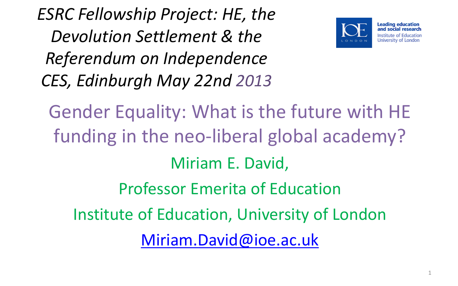*ESRC Fellowship Project: HE, the Devolution Settlement & the Referendum on Independence CES, Edinburgh May 22nd 2013*



Gender Equality: What is the future with HE funding in the neo-liberal global academy? Miriam E. David, Professor Emerita of Education Institute of Education, University of London [Miriam.David@ioe.ac.uk](mailto:Miriam.David@ioe.ac.uk)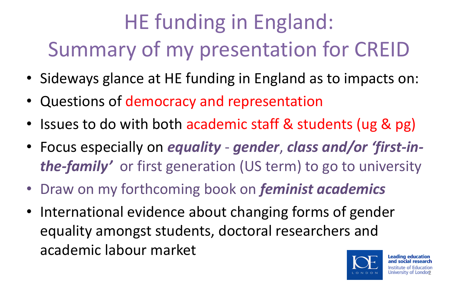# HE funding in England: Summary of my presentation for CREID

- Sideways glance at HE funding in England as to impacts on:
- Questions of democracy and representation
- Issues to do with both academic staff & students (ug & pg)
- Focus especially on *equality gender*, *class and/or 'first-inthe-family'* or first generation (US term) to go to university
- Draw on my forthcoming book on *feminist academics*
- International evidence about changing forms of gender equality amongst students, doctoral researchers and academic labour market

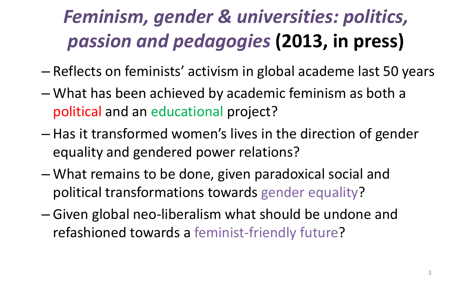# *Feminism, gender & universities: politics, passion and pedagogies* **(2013, in press)**

- Reflects on feminists' activism in global academe last 50 years
- What has been achieved by academic feminism as both a political and an educational project?
- Has it transformed women's lives in the direction of gender equality and gendered power relations?
- What remains to be done, given paradoxical social and political transformations towards gender equality?
- Given global neo-liberalism what should be undone and refashioned towards a feminist-friendly future?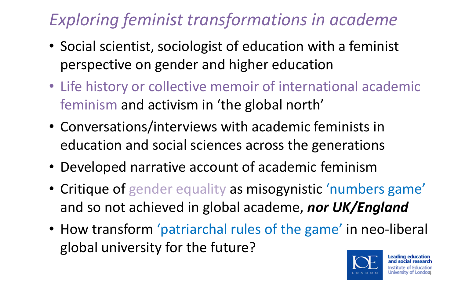#### *Exploring feminist transformations in academe*

- Social scientist, sociologist of education with a feminist perspective on gender and higher education
- Life history or collective memoir of international academic feminism and activism in 'the global north'
- Conversations/interviews with academic feminists in education and social sciences across the generations
- Developed narrative account of academic feminism
- Critique of gender equality as misogynistic 'numbers game' and so not achieved in global academe, *nor UK/England*
- How transform 'patriarchal rules of the game' in neo-liberal global university for the future?

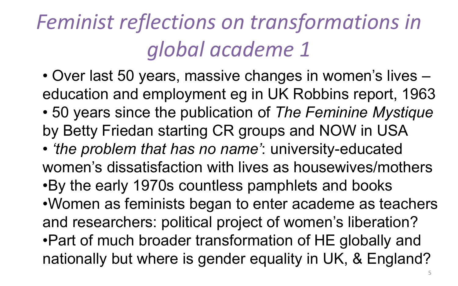# *Feminist reflections on transformations in global academe 1*

• Over last 50 years, massive changes in women's lives – education and employment eg in UK Robbins report, 1963 • 50 years since the publication of *The Feminine Mystique*  by Betty Friedan starting CR groups and NOW in USA

• *'the problem that has no name'*: university-educated women's dissatisfaction with lives as housewives/mothers •By the early 1970s countless pamphlets and books •Women as feminists began to enter academe as teachers and researchers: political project of women's liberation? •Part of much broader transformation of HE globally and nationally but where is gender equality in UK, & England?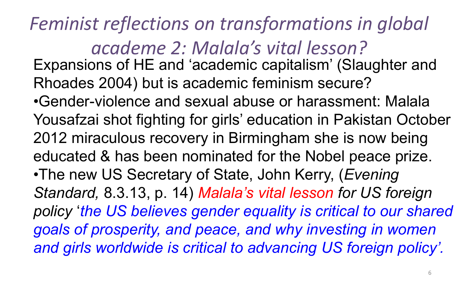*Feminist reflections on transformations in global academe 2: Malala's vital lesson?*  Expansions of HE and 'academic capitalism' (Slaughter and Rhoades 2004) but is academic feminism secure? •Gender-violence and sexual abuse or harassment: Malala Yousafzai shot fighting for girls' education in Pakistan October 2012 miraculous recovery in Birmingham she is now being educated & has been nominated for the Nobel peace prize. •The new US Secretary of State, John Kerry, (*Evening Standard,* 8.3.13, p. 14) *Malala's vital lesson for US foreign policy* '*the US believes gender equality is critical to our shared goals of prosperity, and peace, and why investing in women and girls worldwide is critical to advancing US foreign policy'.*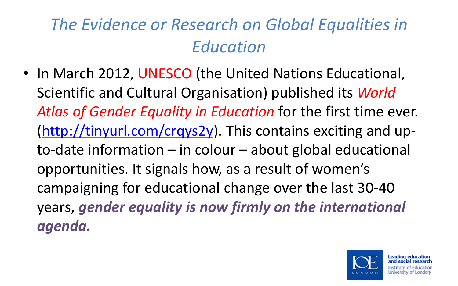#### *The Evidence or Research on Global Equalities in Education*

• In March 2012, UNESCO (the United Nations Educational, Scientific and Cultural Organisation) published its *World Atlas of Gender Equality in Education* for the first time ever. ([http://tinyurl.com/crqys2y\)](http://tinyurl.com/crqys2y). This contains exciting and upto-date information – in colour – about global educational opportunities. It signals how, as a result of women's campaigning for educational change over the last 30-40 years, *gender equality is now firmly on the international agenda.*

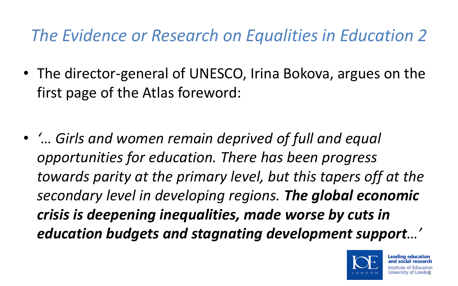#### *The Evidence or Research on Equalities in Education 2*

- The director-general of UNESCO, Irina Bokova, argues on the first page of the Atlas foreword:
- *'… Girls and women remain deprived of full and equal opportunities for education. There has been progress towards parity at the primary level, but this tapers off at the secondary level in developing regions. The global economic crisis is deepening inequalities, made worse by cuts in education budgets and stagnating development support…'*

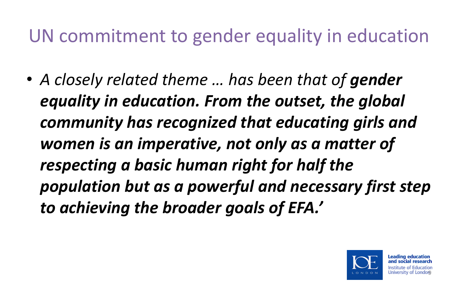### UN commitment to gender equality in education

• *A closely related theme … has been that of gender equality in education. From the outset, the global community has recognized that educating girls and women is an imperative, not only as a matter of respecting a basic human right for half the population but as a powerful and necessary first step to achieving the broader goals of EFA.'*

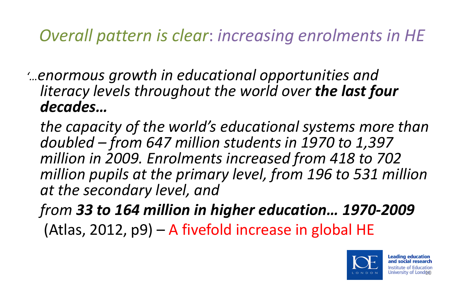#### *Overall pattern is clear*: *increasing enrolments in HE*

*'…enormous growth in educational opportunities and literacy levels throughout the world over the last four decades…* 

*the capacity of the world's educational systems more than doubled – from 647 million students in 1970 to 1,397 million in 2009. Enrolments increased from 418 to 702 million pupils at the primary level, from 196 to 531 million at the secondary level, and* 

*from 33 to 164 million in higher education… 1970-2009* (Atlas, 2012, p9) – A fivefold increase in global HE

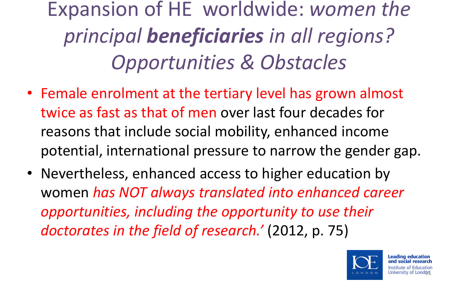Expansion of HE worldwide: *women the principal beneficiaries in all regions? Opportunities & Obstacles*

- Female enrolment at the tertiary level has grown almost twice as fast as that of men over last four decades for reasons that include social mobility, enhanced income potential, international pressure to narrow the gender gap.
- Nevertheless, enhanced access to higher education by women *has NOT always translated into enhanced career opportunities, including the opportunity to use their doctorates in the field of research.'* (2012, p. 75)

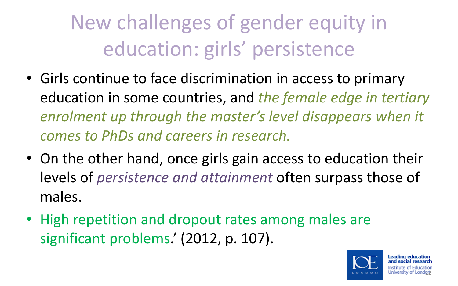New challenges of gender equity in education: girls' persistence

- Girls continue to face discrimination in access to primary education in some countries, and *the female edge in tertiary enrolment up through the master's level disappears when it comes to PhDs and careers in research.*
- On the other hand, once girls gain access to education their levels of *persistence and attainment* often surpass those of males.
- High repetition and dropout rates among males are significant problems.' (2012, p. 107).

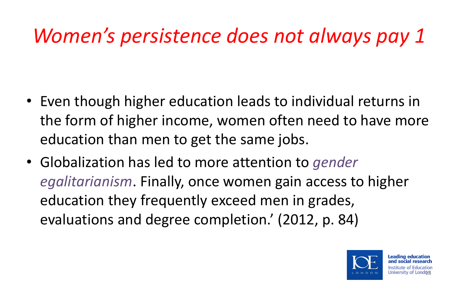## *Women's persistence does not always pay 1*

- Even though higher education leads to individual returns in the form of higher income, women often need to have more education than men to get the same jobs.
- Globalization has led to more attention to *gender egalitarianism*. Finally, once women gain access to higher education they frequently exceed men in grades, evaluations and degree completion.' (2012, p. 84)

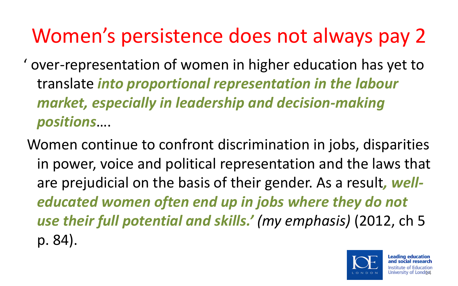## Women's persistence does not always pay 2

- ' over-representation of women in higher education has yet to translate *into proportional representation in the labour market, especially in leadership and decision-making positions*….
- Women continue to confront discrimination in jobs, disparities in power, voice and political representation and the laws that are prejudicial on the basis of their gender. As a result*, welleducated women often end up in jobs where they do not use their full potential and skills.' (my emphasis)* (2012, ch 5 p. 84).

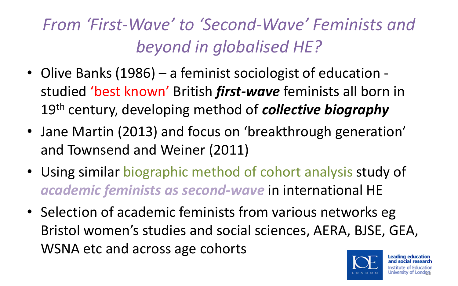### *From 'First-Wave' to 'Second-Wave' Feminists and beyond in globalised HE?*

- Olive Banks (1986) a feminist sociologist of education studied 'best known' British *first-wave* feminists all born in 19th century, developing method of *collective biography*
- Jane Martin (2013) and focus on 'breakthrough generation' and Townsend and Weiner (2011)
- Using similar biographic method of cohort analysis study of *academic feminists as second-wave* in international HE
- Selection of academic feminists from various networks eg Bristol women's studies and social sciences, AERA, BJSE, GEA, WSNA etc and across age cohorts

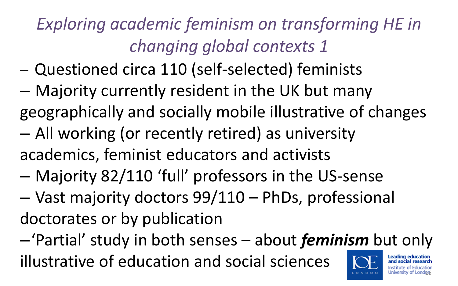## *Exploring academic feminism on transforming HE in changing global contexts 1*

- Questioned circa 110 (self-selected) feminists
- Majority currently resident in the UK but many geographically and socially mobile illustrative of changes
- All working (or recently retired) as university academics, feminist educators and activists
- Majority 82/110 'full' professors in the US-sense
- Vast majority doctors 99/110 PhDs, professional doctorates or by publication

–'Partial' study in both senses – about *feminism* but only illustrative of education and social sciences **Leading education** φб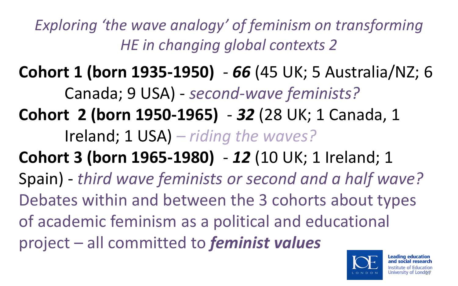*Exploring 'the wave analogy' of feminism on transforming HE in changing global contexts 2*

**Cohort 1 (born 1935-1950)** - *66* (45 UK; 5 Australia/NZ; 6 Canada; 9 USA) - *second-wave feminists?* **Cohort 2 (born 1950-1965)** - *32* (28 UK; 1 Canada, 1 Ireland; 1 USA) *– riding the waves?* **Cohort 3 (born 1965-1980)** - *12* (10 UK; 1 Ireland; 1 Spain) - *third wave feminists or second and a half wave?* Debates within and between the 3 cohorts about types of academic feminism as a political and educational project – all committed to *feminist values*

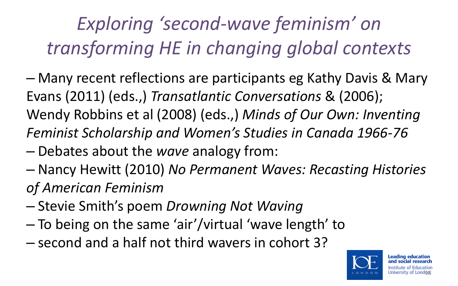# *Exploring 'second-wave feminism' on transforming HE in changing global contexts*

- Many recent reflections are participants eg Kathy Davis & Mary Evans (2011) (eds.,) *Transatlantic Conversations* & (2006); Wendy Robbins et al (2008) (eds.,) *Minds of Our Own: Inventing Feminist Scholarship and Women's Studies in Canada 1966-76*
- Debates about the *wave* analogy from:
- Nancy Hewitt (2010) *No Permanent Waves: Recasting Histories of American Feminism*
- Stevie Smith's poem *Drowning Not Waving*
- To being on the same 'air'/virtual 'wave length' to
- second and a half not third wavers in cohort 3?

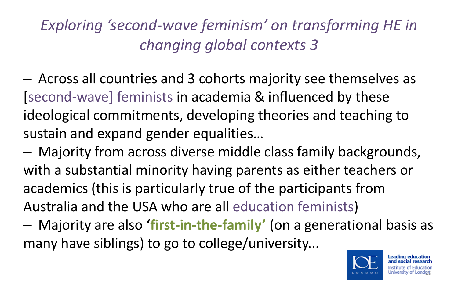#### *Exploring 'second-wave feminism' on transforming HE in changing global contexts 3*

- Across all countries and 3 cohorts majority see themselves as [second-wave] feminists in academia & influenced by these ideological commitments, developing theories and teaching to sustain and expand gender equalities…
- Majority from across diverse middle class family backgrounds, with a substantial minority having parents as either teachers or academics (this is particularly true of the participants from Australia and the USA who are all education feminists)
- Majority are also **'first-in-the-family'** (on a generational basis as many have siblings) to go to college/university...

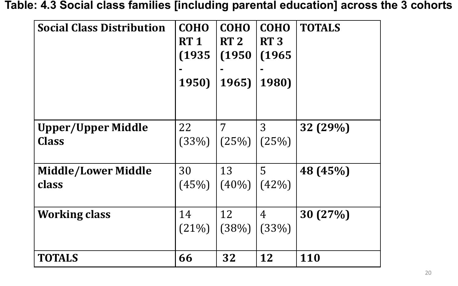#### **Table: 4.3 Social class families [including parental education] across the 3 cohorts**

| <b>Social Class Distribution</b>          | <b>COHO</b><br>RT <sub>1</sub><br>(1935)<br>1950) | <b>COHO</b><br>RT <sub>2</sub><br>(1950)<br>1965) | <b>COHO</b><br><b>RT3</b><br>(1965<br>1980) | <b>TOTALS</b> |
|-------------------------------------------|---------------------------------------------------|---------------------------------------------------|---------------------------------------------|---------------|
| <b>Upper/Upper Middle</b><br><b>Class</b> | 22<br>(33%)                                       | 7<br>(25%)                                        | 3<br>(25%)                                  | 32 (29%)      |
| <b>Middle/Lower Middle</b><br>class       | 30<br>(45%)                                       | 13<br>$(40\%)$                                    | 5<br>(42%)                                  | 48 (45%)      |
| <b>Working class</b>                      | 14<br>$(21\%)$                                    | 12<br>(38%)                                       | 4<br>(33%)                                  | 30(27%)       |
| <b>TOTALS</b>                             | 66                                                | 32                                                | 12                                          | <b>110</b>    |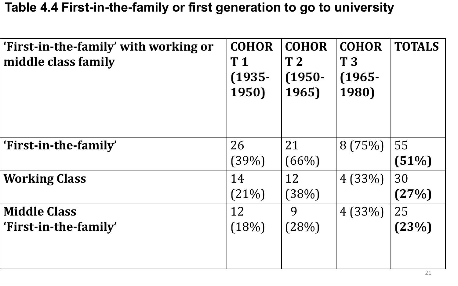#### **Table 4.4 First-in-the-family or first generation to go to university**

| 'First-in-the-family' with working or<br>middle class family | <b>COHOR</b><br>T <sub>1</sub><br>$(1935 -$<br>1950) | <b>COHOR</b><br>T <sub>2</sub><br>$(1950 -$<br>1965) | <b>COHOR</b><br>T <sub>3</sub><br>$(1965 -$<br>1980) | <b>TOTALS</b> |
|--------------------------------------------------------------|------------------------------------------------------|------------------------------------------------------|------------------------------------------------------|---------------|
| 'First-in-the-family'                                        | 26                                                   | 21                                                   | 8(75%)                                               | 55            |
|                                                              | (39%)                                                | $(66\%)$                                             |                                                      | (51%)         |
| <b>Working Class</b>                                         | 14                                                   | 12                                                   | 4(33%)                                               | 30            |
|                                                              | (21%)                                                | (38%)                                                |                                                      | (27%)         |
| <b>Middle Class</b>                                          | 12                                                   | 9                                                    | 4(33%)                                               | 25            |
| 'First-in-the-family'                                        | (18%)                                                | (28%)                                                |                                                      | (23%)         |
|                                                              |                                                      |                                                      |                                                      |               |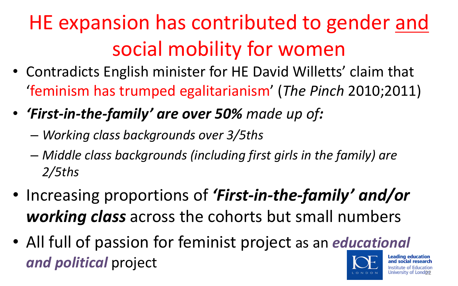# HE expansion has contributed to gender and social mobility for women

- Contradicts English minister for HE David Willetts' claim that 'feminism has trumped egalitarianism' (*The Pinch* 2010;2011)
- *'First-in-the-family' are over 50% made up of:*
	- *Working class backgrounds over 3/5ths*
	- *Middle class backgrounds (including first girls in the family) are 2/5ths*
- Increasing proportions of *'First-in-the-family' and/or working class* across the cohorts but small numbers
- All full of passion for feminist project as an *e[ducational](http://www.ioe.ac.uk/index.html)  and political* project

<u>22</u>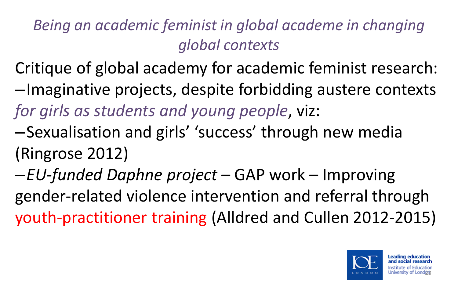#### *Being an academic feminist in global academe in changing global contexts*

- Critique of global academy for academic feminist research: –Imaginative projects, despite forbidding austere contexts *for girls as students and young people*, viz:
- –Sexualisation and girls' 'success' through new media (Ringrose 2012)
- –*EU-funded Daphne project*  GAP work Improving gender-related violence intervention and referral through youth-practitioner training (Alldred and Cullen 2012-2015)

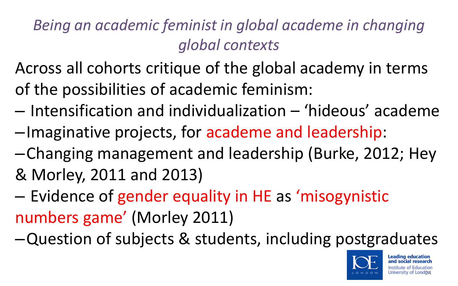*Being an academic feminist in global academe in changing global contexts* 

Across all cohorts critique of the global academy in terms of the possibilities of academic feminism:

- Intensification and individualization 'hideous' academe
- –Imaginative projects, for academe and leadership:
- –Changing management and leadership (Burke, 2012; Hey & Morley, 2011 and 2013)
- Evidence of gender equality in HE as 'misogynistic numbers game' (Morley 2011)
- –Question of subjects & students, including postgraduates